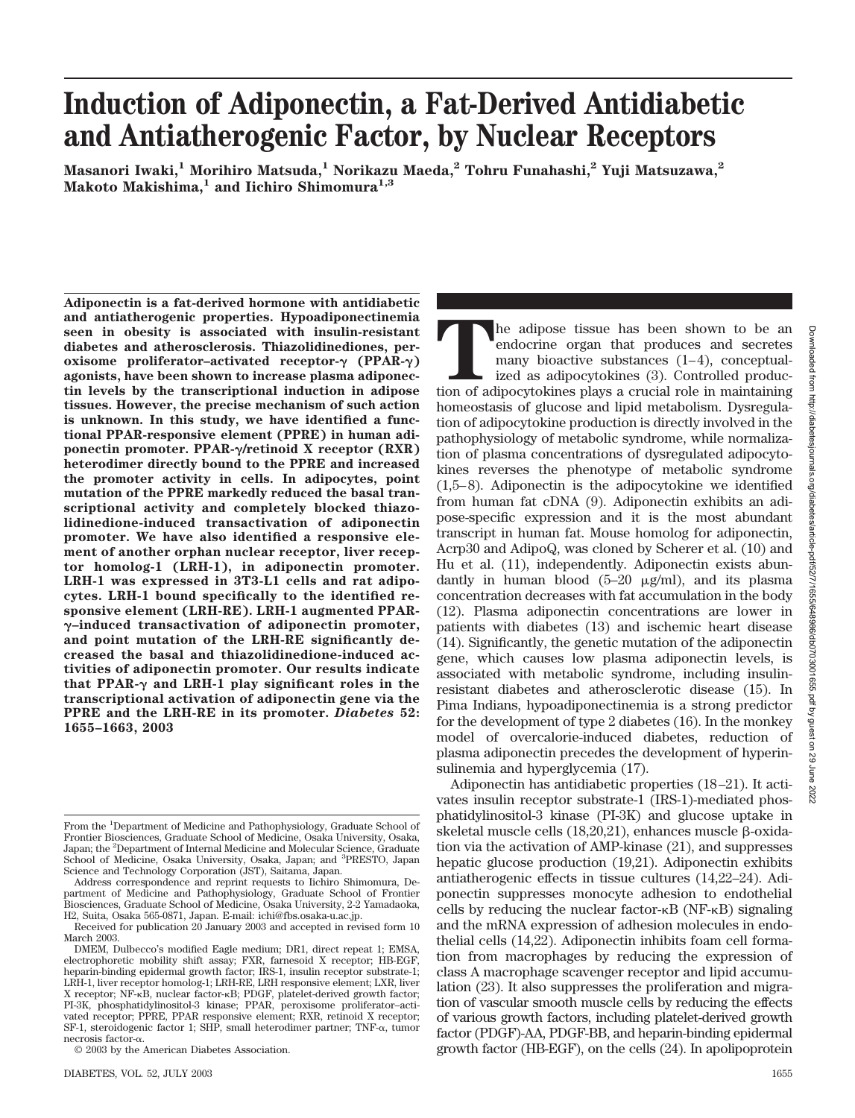# **Induction of Adiponectin, a Fat-Derived Antidiabetic and Antiatherogenic Factor, by Nuclear Receptors**

**Masanori Iwaki,1 Morihiro Matsuda,1 Norikazu Maeda,2 Tohru Funahashi,2 Yuji Matsuzawa,2** Makoto Makishima,<sup>1</sup> and Iichiro Shimomura<sup>1,3</sup>

**Adiponectin is a fat-derived hormone with antidiabetic and antiatherogenic properties. Hypoadiponectinemia seen in obesity is associated with insulin-resistant diabetes and atherosclerosis. Thiazolidinediones, peroxisome** proliferator-activated receptor-γ (PPAR-γ) **agonists, have been shown to increase plasma adiponectin levels by the transcriptional induction in adipose tissues. However, the precise mechanism of such action is unknown. In this study, we have identified a functional PPAR-responsive element (PPRE) in human adi**ponectin promoter. PPAR- $\gamma$ /retinoid X receptor (RXR) **heterodimer directly bound to the PPRE and increased the promoter activity in cells. In adipocytes, point mutation of the PPRE markedly reduced the basal transcriptional activity and completely blocked thiazolidinedione-induced transactivation of adiponectin promoter. We have also identified a responsive element of another orphan nuclear receptor, liver receptor homolog-1 (LRH-1), in adiponectin promoter. LRH-1 was expressed in 3T3-L1 cells and rat adipocytes. LRH-1 bound specifically to the identified responsive element (LRH-RE). LRH-1 augmented PPAR- –induced transactivation of adiponectin promoter, and point mutation of the LRH-RE significantly decreased the basal and thiazolidinedione-induced activities of adiponectin promoter. Our results indicate** that PPAR- $\gamma$  and LRH-1 play significant roles in the **transcriptional activation of adiponectin gene via the PPRE and the LRH-RE in its promoter.** *Diabetes* **52: 1655–1663, 2003**

The adipose tissue has been shown to be an endocrine organ that produces and secretes many bioactive substances (1–4), conceptualized as adipocytokines (3). Controlled production of adipocytokines plays a crucial role in m endocrine organ that produces and secretes many bioactive substances (1–4), conceptualized as adipocytokines (3). Controlled produchomeostasis of glucose and lipid metabolism. Dysregulation of adipocytokine production is directly involved in the pathophysiology of metabolic syndrome, while normalization of plasma concentrations of dysregulated adipocytokines reverses the phenotype of metabolic syndrome (1,5–8). Adiponectin is the adipocytokine we identified from human fat cDNA (9). Adiponectin exhibits an adipose-specific expression and it is the most abundant transcript in human fat. Mouse homolog for adiponectin, Acrp30 and AdipoQ, was cloned by Scherer et al. (10) and Hu et al. (11), independently. Adiponectin exists abundantly in human blood  $(5-20 \mu g/ml)$ , and its plasma concentration decreases with fat accumulation in the body (12). Plasma adiponectin concentrations are lower in patients with diabetes (13) and ischemic heart disease (14). Significantly, the genetic mutation of the adiponectin gene, which causes low plasma adiponectin levels, is associated with metabolic syndrome, including insulinresistant diabetes and atherosclerotic disease (15). In Pima Indians, hypoadiponectinemia is a strong predictor for the development of type 2 diabetes (16). In the monkey model of overcalorie-induced diabetes, reduction of plasma adiponectin precedes the development of hyperinsulinemia and hyperglycemia (17). Adiponectin has antidiabetic properties (18–21). It activates insulin receptor substrate-1 (IRS-1)-mediated phosphatidylinositol-3 kinase (PI-3K) and glucose uptake in skeletal muscle cells  $(18,20,21)$ , enhances muscle  $\beta$ -oxidation via the activation of AMP-kinase (21), and suppresses

hepatic glucose production (19,21). Adiponectin exhibits antiatherogenic effects in tissue cultures (14,22–24). Adiponectin suppresses monocyte adhesion to endothelial cells by reducing the nuclear factor- $\kappa$ B (NF- $\kappa$ B) signaling and the mRNA expression of adhesion molecules in endothelial cells (14,22). Adiponectin inhibits foam cell formation from macrophages by reducing the expression of class A macrophage scavenger receptor and lipid accumulation (23). It also suppresses the proliferation and migration of vascular smooth muscle cells by reducing the effects of various growth factors, including platelet-derived growth factor (PDGF)-AA, PDGF-BB, and heparin-binding epidermal growth factor (HB-EGF), on the cells (24). In apolipoprotein

From the <sup>1</sup>Department of Medicine and Pathophysiology, Graduate School of Frontier Biosciences, Graduate School of Medicine, Osaka University, Osaka, Japan; the <sup>2</sup>Department of Internal Medicine and Molecular Science, Graduate School of Medicine, Osaka University, Osaka, Japan; and <sup>3</sup>PRESTO, Japan Science and Technology Corporation (JST), Saitama, Japan.

Address correspondence and reprint requests to Iichiro Shimomura, Department of Medicine and Pathophysiology, Graduate School of Frontier Biosciences, Graduate School of Medicine, Osaka University, 2-2 Yamadaoka, H2, Suita, Osaka 565-0871, Japan. E-mail: ichi@fbs.osaka-u.ac.jp.

Received for publication 20 January 2003 and accepted in revised form 10 March 2003.

DMEM, Dulbecco's modified Eagle medium; DR1, direct repeat 1; EMSA, electrophoretic mobility shift assay; FXR, farnesoid X receptor; HB-EGF, heparin-binding epidermal growth factor; IRS-1, insulin receptor substrate-1; LRH-1, liver receptor homolog-1; LRH-RE, LRH responsive element; LXR, liver X receptor; NF-KB, nuclear factor-KB; PDGF, platelet-derived growth factor; PI-3K, phosphatidylinositol-3 kinase; PPAR, peroxisome proliferator–activated receptor; PPRE, PPAR responsive element; RXR, retinoid X receptor; SF-1, steroidogenic factor 1; SHP, small heterodimer partner; TNF- $\alpha$ , tumor necrosis factor- $\alpha$ .

<sup>© 2003</sup> by the American Diabetes Association.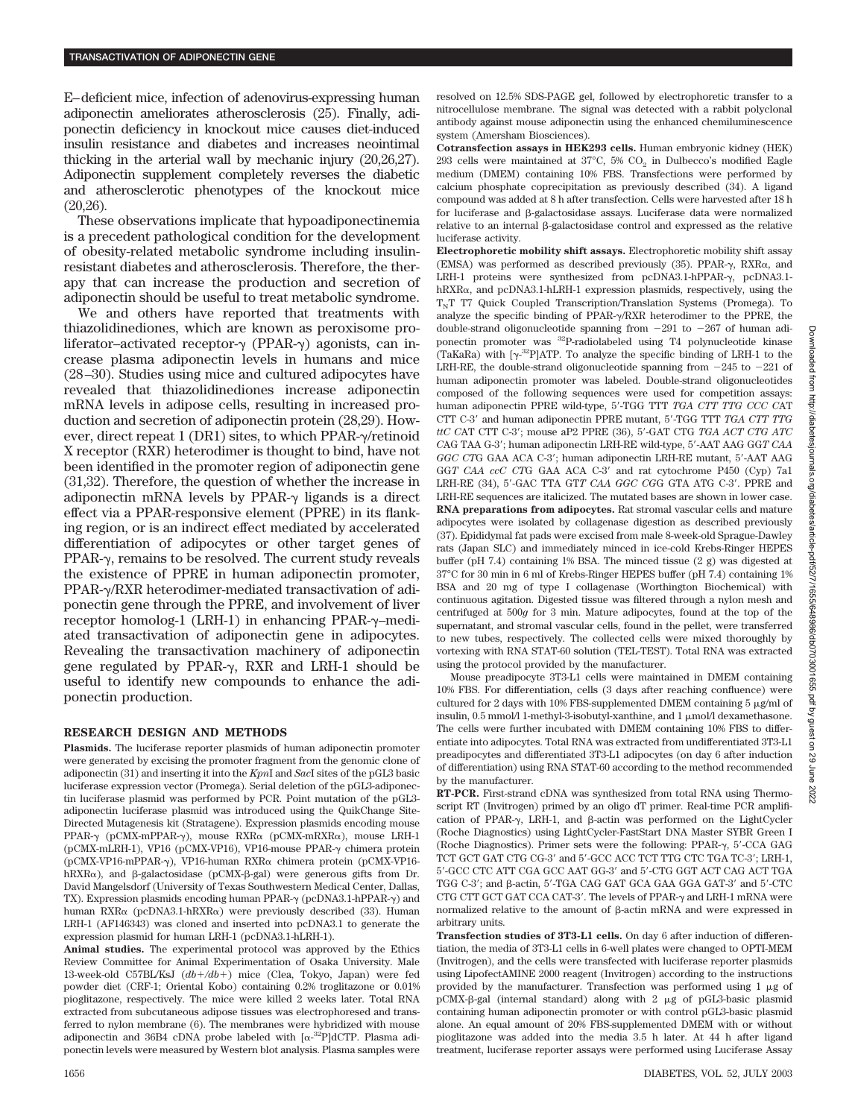E–deficient mice, infection of adenovirus-expressing human adiponectin ameliorates atherosclerosis (25). Finally, adiponectin deficiency in knockout mice causes diet-induced insulin resistance and diabetes and increases neointimal thicking in the arterial wall by mechanic injury (20,26,27). Adiponectin supplement completely reverses the diabetic and atherosclerotic phenotypes of the knockout mice (20,26).

These observations implicate that hypoadiponectinemia is a precedent pathological condition for the development of obesity-related metabolic syndrome including insulinresistant diabetes and atherosclerosis. Therefore, the therapy that can increase the production and secretion of adiponectin should be useful to treat metabolic syndrome.

We and others have reported that treatments with thiazolidinediones, which are known as peroxisome proliferator–activated receptor- $\gamma$  (PPAR- $\gamma$ ) agonists, can increase plasma adiponectin levels in humans and mice (28–30). Studies using mice and cultured adipocytes have revealed that thiazolidinediones increase adiponectin mRNA levels in adipose cells, resulting in increased production and secretion of adiponectin protein (28,29). However, direct repeat 1 (DR1) sites, to which PPAR- $\gamma$ /retinoid X receptor (RXR) heterodimer is thought to bind, have not been identified in the promoter region of adiponectin gene (31,32). Therefore, the question of whether the increase in adiponectin mRNA levels by PPAR- $\gamma$  ligands is a direct effect via a PPAR-responsive element (PPRE) in its flanking region, or is an indirect effect mediated by accelerated differentiation of adipocytes or other target genes of  $PPAR-\gamma$ , remains to be resolved. The current study reveals the existence of PPRE in human adiponectin promoter, PPAR- $\gamma$ /RXR heterodimer-mediated transactivation of adiponectin gene through the PPRE, and involvement of liver receptor homolog-1 (LRH-1) in enhancing PPAR- $\gamma$ -mediated transactivation of adiponectin gene in adipocytes. Revealing the transactivation machinery of adiponectin gene regulated by PPAR- $\gamma$ , RXR and LRH-1 should be useful to identify new compounds to enhance the adiponectin production.

#### **RESEARCH DESIGN AND METHODS**

**Plasmids.** The luciferase reporter plasmids of human adiponectin promoter were generated by excising the promoter fragment from the genomic clone of adiponectin (31) and inserting it into the *Kpn*I and *Sac*I sites of the pGL3 basic luciferase expression vector (Promega). Serial deletion of the pGL3-adiponectin luciferase plasmid was performed by PCR. Point mutation of the pGL3 adiponectin luciferase plasmid was introduced using the QuikChange Site-Directed Mutagenesis kit (Stratagene). Expression plasmids encoding mouse PPAR- $\gamma$  (pCMX-mPPAR- $\gamma$ ), mouse RXR $\alpha$  (pCMX-mRXR $\alpha$ ), mouse LRH-1 (pCMX-mLRH-1), VP16 (pCMX-VP16), VP16-mouse PPAR- $\gamma$  chimera protein (pCMX-VP16-mPPAR-γ), VP16-human RXRα chimera protein (pCMX-VP16hRXR $\alpha$ ), and  $\beta$ -galactosidase (pCMX- $\beta$ -gal) were generous gifts from Dr. David Mangelsdorf (University of Texas Southwestern Medical Center, Dallas, TX). Expression plasmids encoding human PPAR- $\gamma$  (pcDNA3.1-hPPAR- $\gamma$ ) and human RXR $\alpha$  (pcDNA3.1-hRXR $\alpha$ ) were previously described (33). Human LRH-1 (AF146343) was cloned and inserted into pcDNA3.1 to generate the expression plasmid for human LRH-1 (pcDNA3.1-hLRH-1).

**Animal studies.** The experimental protocol was approved by the Ethics Review Committee for Animal Experimentation of Osaka University. Male 13-week-old C57BL/KsJ (*db/db*) mice (Clea, Tokyo, Japan) were fed powder diet (CRF-1; Oriental Kobo) containing 0.2% troglitazone or 0.01% pioglitazone, respectively. The mice were killed 2 weeks later. Total RNA extracted from subcutaneous adipose tissues was electrophoresed and transferred to nylon membrane (6). The membranes were hybridized with mouse adiponectin and 36B4 cDNA probe labeled with  $[\alpha^{-32}P]$ dCTP. Plasma adiponectin levels were measured by Western blot analysis. Plasma samples were

resolved on 12.5% SDS-PAGE gel, followed by electrophoretic transfer to a nitrocellulose membrane. The signal was detected with a rabbit polyclonal antibody against mouse adiponectin using the enhanced chemiluminescence system (Amersham Biosciences).

**Cotransfection assays in HEK293 cells.** Human embryonic kidney (HEK) 293 cells were maintained at  $37^{\circ}$ C, 5% CO<sub>2</sub> in Dulbecco's modified Eagle medium (DMEM) containing 10% FBS. Transfections were performed by calcium phosphate coprecipitation as previously described (34). A ligand compound was added at 8 h after transfection. Cells were harvested after 18 h for luciferase and  $\beta$ -galactosidase assays. Luciferase data were normalized  $relative$  to an internal  $\beta$ -galactosidase control and expressed as the relative luciferase activity.

**Electrophoretic mobility shift assays.** Electrophoretic mobility shift assay (EMSA) was performed as described previously  $(35)$ . PPAR- $\gamma$ , RXR $\alpha$ , and LRH-1 proteins were synthesized from pcDNA3.1-hPPAR- $\gamma$ , pcDNA3.1 $h\nRXR<sub>\alpha</sub>$ , and pcDNA3.1-hLRH-1 expression plasmids, respectively, using the  $T<sub>N</sub>T$  T7 Quick Coupled Transcription/Translation Systems (Promega). To analyze the specific binding of PPAR- $\gamma$ /RXR heterodimer to the PPRE, the double-strand oligonucleotide spanning from  $-291$  to  $-267$  of human adiponectin promoter was 32P-radiolabeled using T4 polynucleotide kinase (TaKaRa) with  $[\gamma^{32}P]$ ATP. To analyze the specific binding of LRH-1 to the LRH-RE, the double-strand oligonucleotide spanning from  $-245$  to  $-221$  of human adiponectin promoter was labeled. Double-strand oligonucleotides composed of the following sequences were used for competition assays: human adiponectin PPRE wild-type, 5-TGG TTT *TGA CTT TTG CCC C*AT CTT C-3 and human adiponectin PPRE mutant, 5-TGG TTT *TGA CTT TTG ttC C*AT CTT C-3; mouse aP2 PPRE (36), 5-GAT CTG *TGA ACT CTG ATC C*AG TAA G-3; human adiponectin LRH-RE wild-type, 5-AAT AAG GG*T CAA GGC CT*G GAA ACA C-3; human adiponectin LRH-RE mutant, 5-AAT AAG GGT CAA ccC CTG GAA ACA C-3' and rat cytochrome P450 (Cyp) 7a1 LRH-RE (34), 5'-GAC TTA GTT CAA GGC CGG GTA ATG C-3'. PPRE and LRH-RE sequences are italicized. The mutated bases are shown in lower case. **RNA preparations from adipocytes.** Rat stromal vascular cells and mature adipocytes were isolated by collagenase digestion as described previously (37). Epididymal fat pads were excised from male 8-week-old Sprague-Dawley rats (Japan SLC) and immediately minced in ice-cold Krebs-Ringer HEPES buffer (pH 7.4) containing 1% BSA. The minced tissue (2 g) was digested at 37°C for 30 min in 6 ml of Krebs-Ringer HEPES buffer (pH 7.4) containing 1% BSA and 20 mg of type I collagenase (Worthington Biochemical) with continuous agitation. Digested tissue was filtered through a nylon mesh and centrifuged at 500*g* for 3 min. Mature adipocytes, found at the top of the supernatant, and stromal vascular cells, found in the pellet, were transferred to new tubes, respectively. The collected cells were mixed thoroughly by vortexing with RNA STAT-60 solution (TEL-TEST). Total RNA was extracted using the protocol provided by the manufacturer.

Mouse preadipocyte 3T3-L1 cells were maintained in DMEM containing 10% FBS. For differentiation, cells (3 days after reaching confluence) were cultured for 2 days with 10% FBS-supplemented DMEM containing  $5 \mu\text{g/ml of}$ insulin,  $0.5$  mmol/l 1-methyl-3-isobutyl-xanthine, and 1  $\mu$ mol/l dexamethasone. The cells were further incubated with DMEM containing 10% FBS to differentiate into adipocytes. Total RNA was extracted from undifferentiated 3T3-L1 preadipocytes and differentiated 3T3-L1 adipocytes (on day 6 after induction of differentiation) using RNA STAT-60 according to the method recommended by the manufacturer.

**RT-PCR.** First-strand cDNA was synthesized from total RNA using Thermoscript RT (Invitrogen) primed by an oligo dT primer. Real-time PCR amplification of PPAR- $\gamma$ , LRH-1, and  $\beta$ -actin was performed on the LightCycler (Roche Diagnostics) using LightCycler-FastStart DNA Master SYBR Green I (Roche Diagnostics). Primer sets were the following: PPAR- $\gamma$ , 5'-CCA GAG TCT GCT GAT CTG CG-3' and 5'-GCC ACC TCT TTG CTC TGA TC-3'; LRH-1, 5-GCC CTC ATT CGA GCC AAT GG-3 and 5-CTG GGT ACT CAG ACT TGA TGG C-3'; and  $\beta$ -actin, 5'-TGA CAG GAT GCA GAA GGA GAT-3' and 5'-CTC CTG CTT GCT GAT CCA CAT-3'. The levels of PPAR- $\gamma$  and LRH-1 mRNA were normalized relative to the amount of  $\beta$ -actin mRNA and were expressed in arbitrary units.

**Transfection studies of 3T3-L1 cells.** On day 6 after induction of differentiation, the media of 3T3-L1 cells in 6-well plates were changed to OPTI-MEM (Invitrogen), and the cells were transfected with luciferase reporter plasmids using LipofectAMINE 2000 reagent (Invitrogen) according to the instructions provided by the manufacturer. Transfection was performed using  $1 \mu$ g of pCMX-ß-gal (internal standard) along with 2 µg of pGL3-basic plasmid containing human adiponectin promoter or with control pGL3-basic plasmid alone. An equal amount of 20% FBS-supplemented DMEM with or without pioglitazone was added into the media 3.5 h later. At 44 h after ligand treatment, luciferase reporter assays were performed using Luciferase Assay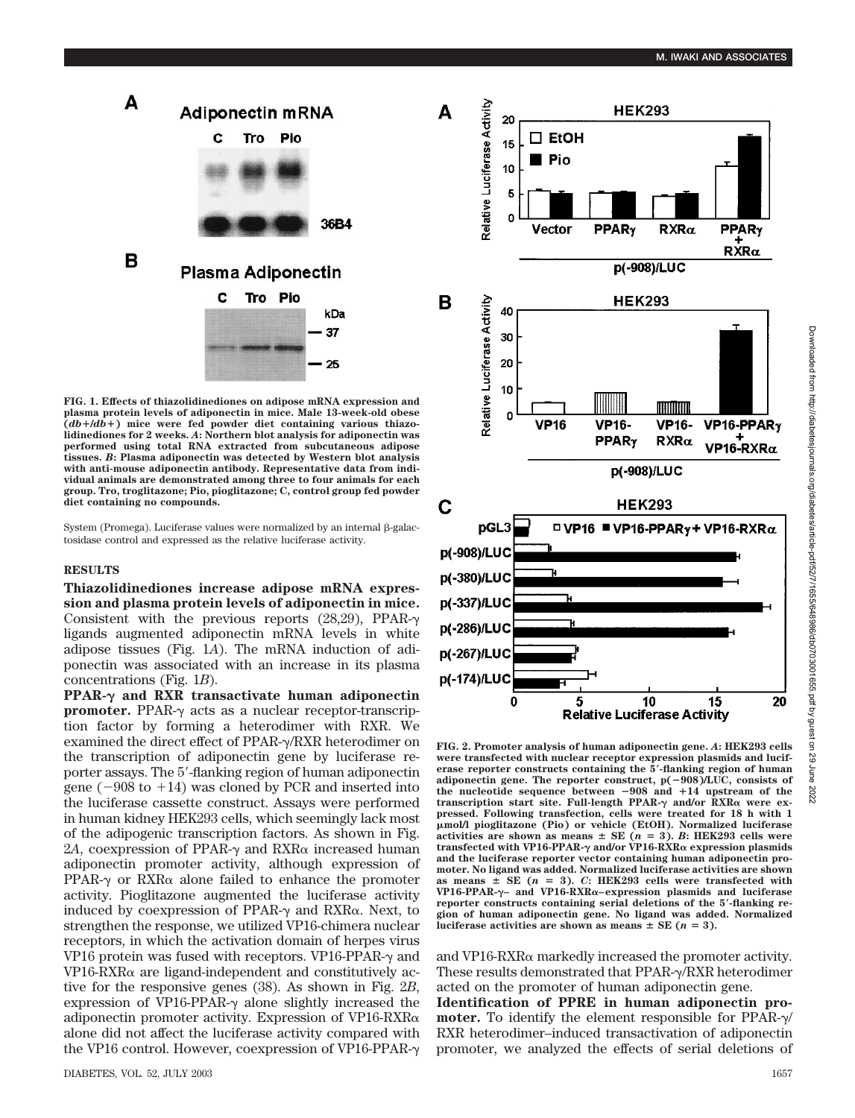

**FIG. 1. Effects of thiazolidinediones on adipose mRNA expression and plasma protein levels of adiponectin in mice. Male 13-week-old obese (***db*-**/***db*-**) mice were fed powder diet containing various thiazolidinediones for 2 weeks.** *A***: Northern blot analysis for adiponectin was performed using total RNA extracted from subcutaneous adipose tissues.** *B***: Plasma adiponectin was detected by Western blot analysis with anti-mouse adiponectin antibody. Representative data from individual animals are demonstrated among three to four animals for each group. Tro, troglitazone; Pio, pioglitazone; C, control group fed powder diet containing no compounds.**

 $System (Promega)$ . Luciferase values were normalized by an internal  $\beta$ -galactosidase control and expressed as the relative luciferase activity.

#### **RESULTS**

**Thiazolidinediones increase adipose mRNA expression and plasma protein levels of adiponectin in mice.** Consistent with the previous reports  $(28,29)$ , PPAR- $\gamma$ ligands augmented adiponectin mRNA levels in white adipose tissues (Fig. 1*A*). The mRNA induction of adiponectin was associated with an increase in its plasma concentrations (Fig. 1*B*).

**PPAR-** $\gamma$  and RXR transactivate human adiponectin **promoter.** PPAR- $\gamma$  acts as a nuclear receptor-transcription factor by forming a heterodimer with RXR. We examined the direct effect of PPAR- $\gamma$ /RXR heterodimer on the transcription of adiponectin gene by luciferase reporter assays. The 5-flanking region of human adiponectin gene  $(-908 \text{ to } +14)$  was cloned by PCR and inserted into the luciferase cassette construct. Assays were performed in human kidney HEK293 cells, which seemingly lack most of the adipogenic transcription factors. As shown in Fig. 2A, coexpression of PPAR- $\gamma$  and RXR $\alpha$  increased human adiponectin promoter activity, although expression of PPAR- $\gamma$  or RXR $\alpha$  alone failed to enhance the promoter activity. Pioglitazone augmented the luciferase activity induced by coexpression of PPAR- $\gamma$  and RXR $\alpha$ . Next, to strengthen the response, we utilized VP16-chimera nuclear receptors, in which the activation domain of herpes virus VP16 protein was fused with receptors. VP16-PPAR- $\gamma$  and  $VP16-RXR\alpha$  are ligand-independent and constitutively active for the responsive genes (38). As shown in Fig. 2*B*, expression of VP16-PPAR- $\gamma$  alone slightly increased the adiponectin promoter activity. Expression of VP16-RXR $\alpha$ alone did not affect the luciferase activity compared with the VP16 control. However, coexpression of VP16-PPAR-



**FIG. 2. Promoter analysis of human adiponectin gene.** *A***: HEK293 cells were transfected with nuclear receptor expression plasmids and luciferase reporter constructs containing the 5-flanking region of human adiponectin gene. The reporter construct, p(908)/LUC, consists of the nucleotide sequence between 908 and** -**14 upstream of the transcription start site. Full-length PPAR-γ and/or RXRα were expressed. Following transfection, cells were treated for 18 h with 1 mol/l pioglitazone (Pio) or vehicle (EtOH). Normalized luciferase activities are shown as means**  $\pm$  **SE** ( $n = 3$ ). *B*: HEK293 cells were **transfected with VP16-PPAR- and/or VP16-RXR expression plasmids and the luciferase reporter vector containing human adiponectin promoter. No ligand was added. Normalized luciferase activities are shown** as means  $\pm$  SE ( $n = 3$ ). *C*: HEK293 cells were transfected with **VP16-PPAR-– and VP16-RXR–expression plasmids and luciferase reporter constructs containing serial deletions of the 5-flanking region of human adiponectin gene. No ligand was added. Normalized luciferase activities are shown as means**  $\pm$  **SE (** $n = 3$ **).** 

and VP16-RXR $\alpha$  markedly increased the promoter activity. These results demonstrated that PPAR- $\gamma$ /RXR heterodimer acted on the promoter of human adiponectin gene.

**Identification of PPRE in human adiponectin promoter.** To identify the element responsible for PPAR- $\gamma$ / RXR heterodimer–induced transactivation of adiponectin promoter, we analyzed the effects of serial deletions of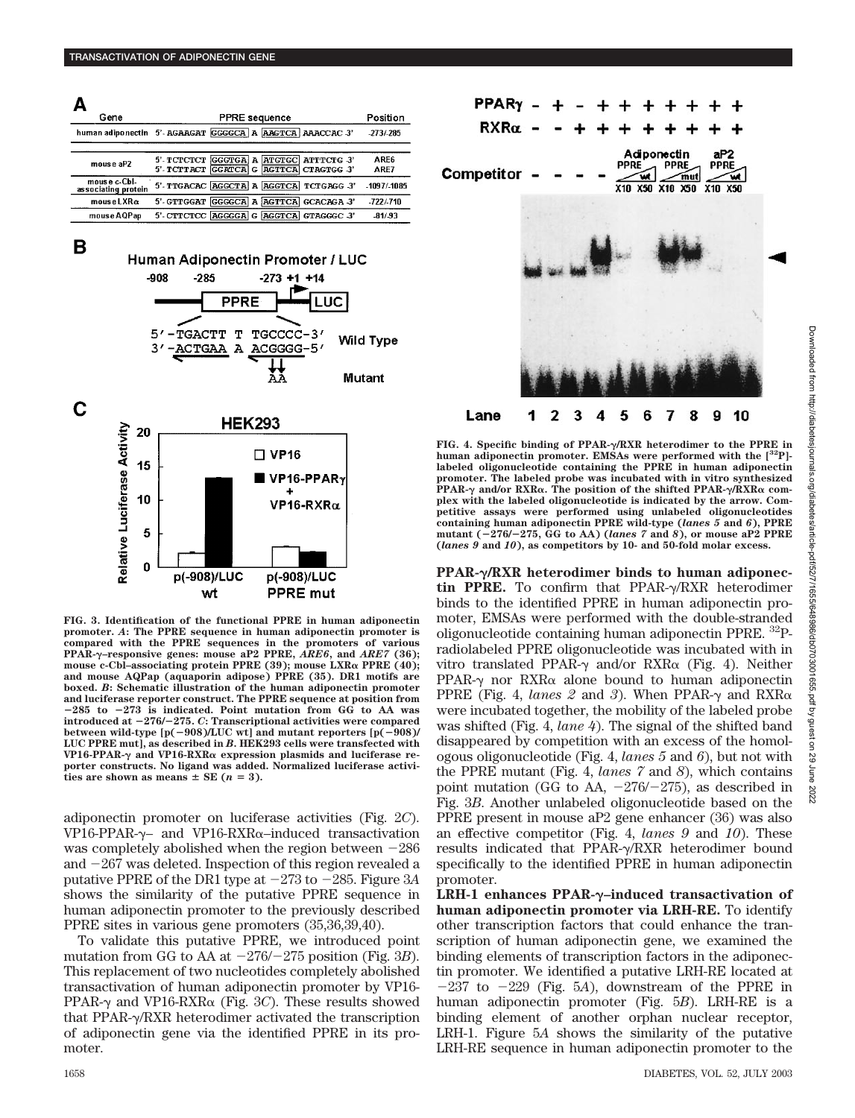| А<br>Gene                           | <b>PPRE</b> sequence                                                              | Position     |
|-------------------------------------|-----------------------------------------------------------------------------------|--------------|
|                                     | human adiponectin 5'- AGAAGAT GGGGCA A AAGTCA AAACCAC 3'                          | $-273/285$   |
| mouse aP2                           | GGGTGA A ATGTGC ATTTCTG 3'<br>5'-TCTCTCT<br>5'-TCTTACT GGATCA G AGTTCA CTAGTGG 3' | ARE6<br>ARE7 |
| mouse c-Cbl-<br>associating protein | 5'-TTGACAC AGGCTA A AGGTCA TCTGAGG 3'                                             | $-1097/1085$ |
| $mouse$ LXR $\alpha$                | GGGGCA A AGTTCA GCACAGA 3'<br>5'-GTTGGAT                                          | $-722/710$   |
| mouse AQPap                         | 5'-CITCTCC AGGGGA G AGGTCA GTAGGGC 3'                                             | $-81/93$     |



**FIG. 3. Identification of the functional PPRE in human adiponectin promoter.** *A***: The PPRE sequence in human adiponectin promoter is compared with the PPRE sequences in the promoters of various PPAR-–responsive genes: mouse aP2 PPRE,** *ARE6***, and** *ARE7* **(36); mouse c-Cbl-associating protein PPRE (39); mouse LXRα PPRE (40); and mouse AQPap (aquaporin adipose) PPRE (35). DR1 motifs are boxed.** *B***: Schematic illustration of the human adiponectin promoter and luciferase reporter construct. The PPRE sequence at position from 285 to 273 is indicated. Point mutation from GG to AA was introduced at 276/275.** *C***: Transcriptional activities were compared** between wild-type  $[p(-908) / LUC$  wt] and mutant reporters  $[p(-908) / LUC]$ **LUC PPRE mut], as described in** *B***. HEK293 cells were transfected with VP16-PPAR- and VP16-RXR expression plasmids and luciferase reporter constructs. No ligand was added. Normalized luciferase activi**ties are shown as means  $\pm$  SE ( $n = 3$ ).

adiponectin promoter on luciferase activities (Fig. 2*C*). VP16-PPAR- $\gamma$ – and VP16-RXR $\alpha$ –induced transactivation was completely abolished when the region between  $-286$ and  $-267$  was deleted. Inspection of this region revealed a putative PPRE of the DR1 type at  $-273$  to  $-285$ . Figure 3A shows the similarity of the putative PPRE sequence in human adiponectin promoter to the previously described PPRE sites in various gene promoters (35,36,39,40).

To validate this putative PPRE, we introduced point mutation from GG to AA at  $-276/-275$  position (Fig. 3*B*). This replacement of two nucleotides completely abolished transactivation of human adiponectin promoter by VP16- PPAR- $\gamma$  and VP16-RXR $\alpha$  (Fig. 3*C*). These results showed that PPAR-/RXR heterodimer activated the transcription of adiponectin gene via the identified PPRE in its promoter.



**FIG. 4. Specific binding of PPAR-/RXR heterodimer to the PPRE in human adiponectin promoter. EMSAs were performed with the [32P] labeled oligonucleotide containing the PPRE in human adiponectin promoter. The labeled probe was incubated with in vitro synthesized PPAR- and/or RXR. The position of the shifted PPAR-/RXR complex with the labeled oligonucleotide is indicated by the arrow. Competitive assays were performed using unlabeled oligonucleotides containing human adiponectin PPRE wild-type (***lanes 5* **and** *6***), PPRE mutant (276/275, GG to AA) (***lanes 7* **and** *8***), or mouse aP2 PPRE (***lanes 9* **and** *10***), as competitors by 10- and 50-fold molar excess.**

**PPAR-/RXR heterodimer binds to human adiponec**tin PPRE. To confirm that PPAR- $\gamma$ /RXR heterodimer binds to the identified PPRE in human adiponectin promoter, EMSAs were performed with the double-stranded oligonucleotide containing human adiponectin PPRE. <sup>32</sup>Pradiolabeled PPRE oligonucleotide was incubated with in vitro translated PPAR- $\gamma$  and/or RXR $\alpha$  (Fig. 4). Neither PPAR- $\gamma$  nor RXR $\alpha$  alone bound to human adiponectin PPRE (Fig. 4, *lanes 2* and 3). When PPAR- $\gamma$  and RXR $\alpha$ were incubated together, the mobility of the labeled probe was shifted (Fig. 4, *lane 4*). The signal of the shifted band disappeared by competition with an excess of the homologous oligonucleotide (Fig. 4, *lanes 5* and *6*), but not with the PPRE mutant (Fig. 4, *lanes 7* and *8*), which contains point mutation (GG to AA,  $-276/-275$ ), as described in Fig. 3*B*. Another unlabeled oligonucleotide based on the PPRE present in mouse aP2 gene enhancer (36) was also an effective competitor (Fig. 4, *lanes 9* and *10*). These results indicated that  $PPAR-\gamma/RXR$  heterodimer bound specifically to the identified PPRE in human adiponectin promoter.

**LRH-1 enhances PPAR-–induced transactivation of human adiponectin promoter via LRH-RE.** To identify other transcription factors that could enhance the transcription of human adiponectin gene, we examined the binding elements of transcription factors in the adiponectin promoter. We identified a putative LRH-RE located at  $-237$  to  $-229$  (Fig. 5A), downstream of the PPRE in human adiponectin promoter (Fig. 5*B*). LRH-RE is a binding element of another orphan nuclear receptor, LRH-1. Figure 5*A* shows the similarity of the putative LRH-RE sequence in human adiponectin promoter to the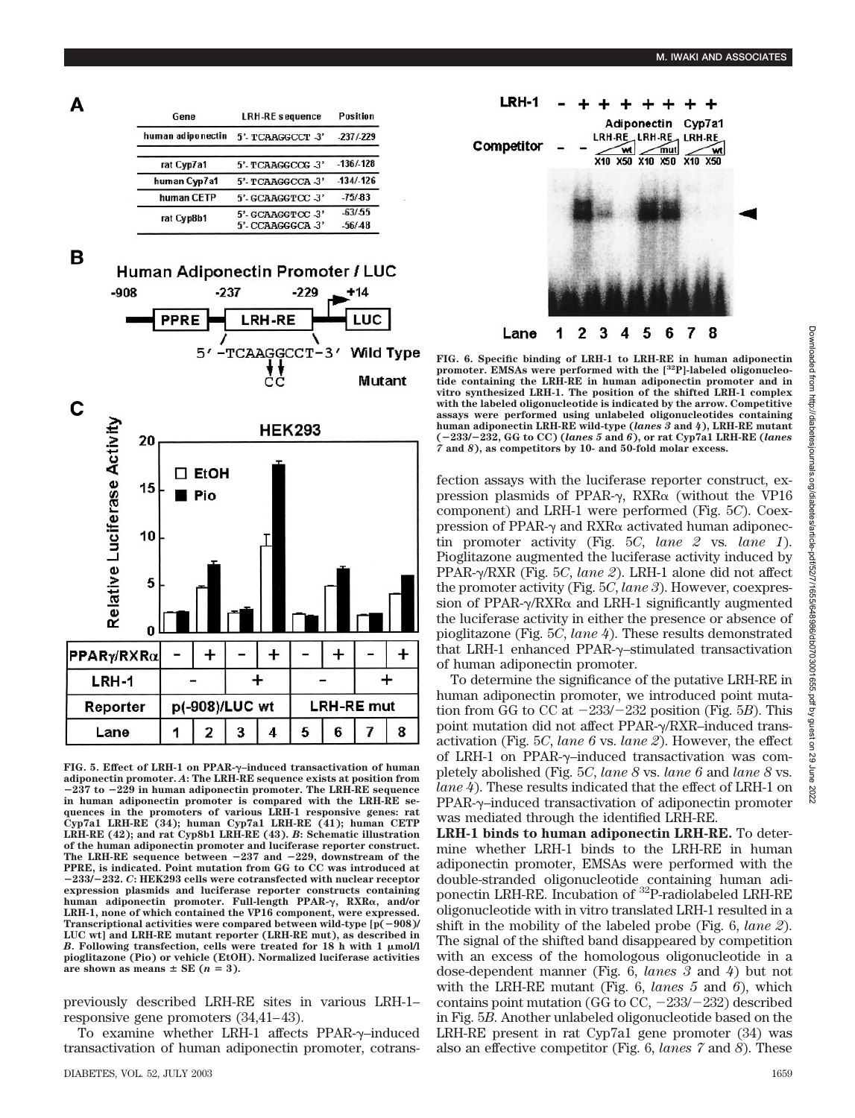

**FIG. 6. Specific binding of LRH-1 to LRH-RE in human adiponectin promoter. EMSAs were performed with the [32P]-labeled oligonucleotide containing the LRH-RE in human adiponectin promoter and in vitro synthesized LRH-1. The position of the shifted LRH-1 complex with the labeled oligonucleotide is indicated by the arrow. Competitive assays were performed using unlabeled oligonucleotides containing human adiponectin LRH-RE wild-type (***lanes 3* **and** *4***), LRH-RE mutant (233/232, GG to CC) (***lanes 5* **and** *6***), or rat Cyp7a1 LRH-RE (***lanes 7* **and** *8***), as competitors by 10- and 50-fold molar excess.**

fection assays with the luciferase reporter construct, expression plasmids of PPAR- $\gamma$ , RXR $\alpha$  (without the VP16 component) and LRH-1 were performed (Fig. 5*C*). Coexpression of PPAR- $\gamma$  and RXR $\alpha$  activated human adiponectin promoter activity (Fig. 5*C*, *lane 2* vs*. lane 1*). Pioglitazone augmented the luciferase activity induced by PPAR-/RXR (Fig. 5*C*, *lane 2*). LRH-1 alone did not affect the promoter activity (Fig. 5*C*, *lane 3*). However, coexpression of PPAR- $\gamma$ /RXR $\alpha$  and LRH-1 significantly augmented the luciferase activity in either the presence or absence of pioglitazone (Fig. 5*C*, *lane 4*). These results demonstrated that LRH-1 enhanced PPAR- $\gamma$ -stimulated transactivation of human adiponectin promoter.

To determine the significance of the putative LRH-RE in human adiponectin promoter, we introduced point mutation from GG to CC at  $-233/-232$  position (Fig. 5*B*). This point mutation did not affect PPAR- $\gamma$ /RXR–induced transactivation (Fig. 5*C*, *lane 6* vs. *lane 2*). However, the effect of LRH-1 on PPAR- $\gamma$ -induced transactivation was completely abolished (Fig. 5*C*, *lane 8* vs. *lane 6* and *lane 8* vs. *lane 4*). These results indicated that the effect of LRH-1 on PPAR- $\gamma$ -induced transactivation of adiponectin promoter was mediated through the identified LRH-RE.

**LRH-1 binds to human adiponectin LRH-RE.** To determine whether LRH-1 binds to the LRH-RE in human adiponectin promoter, EMSAs were performed with the double-stranded oligonucleotide containing human adiponectin LRH-RE. Incubation of <sup>32</sup>P-radiolabeled LRH-RE oligonucleotide with in vitro translated LRH-1 resulted in a shift in the mobility of the labeled probe (Fig. 6, *lane 2*). The signal of the shifted band disappeared by competition with an excess of the homologous oligonucleotide in a dose-dependent manner (Fig. 6, *lanes 3* and *4*) but not with the LRH-RE mutant (Fig. 6, *lanes 5* and *6*), which contains point mutation (GG to CC,  $-233/-232$ ) described in Fig. 5*B*. Another unlabeled oligonucleotide based on the LRH-RE present in rat Cyp7a1 gene promoter (34) was also an effective competitor (Fig. 6, *lanes 7* and *8*). These



в

А



**FIG. 5. Effect of LRH-1 on PPAR-–induced transactivation of human adiponectin promoter.** *A***: The LRH-RE sequence exists at position from 237 to 229 in human adiponectin promoter. The LRH-RE sequence in human adiponectin promoter is compared with the LRH-RE sequences in the promoters of various LRH-1 responsive genes: rat Cyp7a1 LRH-RE (34); human Cyp7a1 LRH-RE (41); human CETP LRH-RE (42); and rat Cyp8b1 LRH-RE (43).** *B***: Schematic illustration of the human adiponectin promoter and luciferase reporter construct. The LRH-RE sequence between 237 and 229, downstream of the PPRE, is indicated. Point mutation from GG to CC was introduced at 233/232.** *C***: HEK293 cells were cotransfected with nuclear receptor expression plasmids and luciferase reporter constructs containing human adiponectin promoter. Full-length PPAR-, RXR, and/or LRH-1, none of which contained the VP16 component, were expressed. Transcriptional activities were compared between wild-type [p(908)/ LUC wt] and LRH-RE mutant reporter (LRH-RE mut), as described in** *B***. Following transfection, cells were treated for 18 h with 1 mol/l pioglitazone (Pio) or vehicle (EtOH). Normalized luciferase activities** are shown as means  $\pm$  SE ( $n = 3$ ).

previously described LRH-RE sites in various LRH-1– responsive gene promoters (34,41–43).

To examine whether LRH-1 affects  $PPAR-\gamma$ -induced transactivation of human adiponectin promoter, cotrans-

 $\frac{1}{2}$ 82 June 2022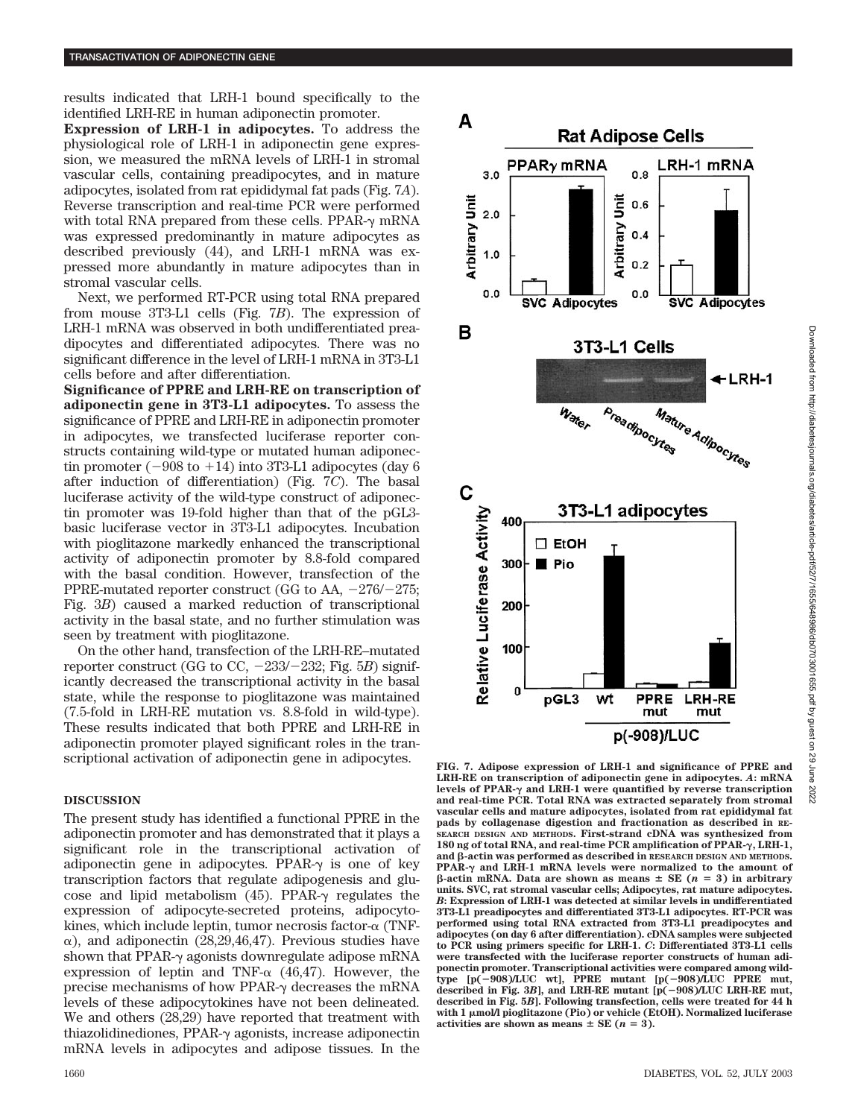results indicated that LRH-1 bound specifically to the identified LRH-RE in human adiponectin promoter.

**Expression of LRH-1 in adipocytes.** To address the physiological role of LRH-1 in adiponectin gene expression, we measured the mRNA levels of LRH-1 in stromal vascular cells, containing preadipocytes, and in mature adipocytes, isolated from rat epididymal fat pads (Fig. 7*A*). Reverse transcription and real-time PCR were performed with total RNA prepared from these cells. PPAR- $\gamma$  mRNA was expressed predominantly in mature adipocytes as described previously (44), and LRH-1 mRNA was expressed more abundantly in mature adipocytes than in stromal vascular cells.

Next, we performed RT-PCR using total RNA prepared from mouse 3T3-L1 cells (Fig. 7*B*). The expression of LRH-1 mRNA was observed in both undifferentiated preadipocytes and differentiated adipocytes. There was no significant difference in the level of LRH-1 mRNA in 3T3-L1 cells before and after differentiation.

**Significance of PPRE and LRH-RE on transcription of adiponectin gene in 3T3-L1 adipocytes.** To assess the significance of PPRE and LRH-RE in adiponectin promoter in adipocytes, we transfected luciferase reporter constructs containing wild-type or mutated human adiponectin promoter ( $-908$  to  $+14$ ) into 3T3-L1 adipocytes (day 6) after induction of differentiation) (Fig. 7*C*). The basal luciferase activity of the wild-type construct of adiponectin promoter was 19-fold higher than that of the pGL3 basic luciferase vector in 3T3-L1 adipocytes. Incubation with pioglitazone markedly enhanced the transcriptional activity of adiponectin promoter by 8.8-fold compared with the basal condition. However, transfection of the PPRE-mutated reporter construct (GG to AA,  $-276/-275$ ; Fig. 3*B*) caused a marked reduction of transcriptional activity in the basal state, and no further stimulation was seen by treatment with pioglitazone.

On the other hand, transfection of the LRH-RE–mutated reporter construct (GG to CC,  $-233/-232$ ; Fig. 5*B*) significantly decreased the transcriptional activity in the basal state, while the response to pioglitazone was maintained (7.5-fold in LRH-RE mutation vs. 8.8-fold in wild-type). These results indicated that both PPRE and LRH-RE in adiponectin promoter played significant roles in the transcriptional activation of adiponectin gene in adipocytes.

## **DISCUSSION**

The present study has identified a functional PPRE in the adiponectin promoter and has demonstrated that it plays a significant role in the transcriptional activation of adiponectin gene in adipocytes. PPAR- $\gamma$  is one of key transcription factors that regulate adipogenesis and glucose and lipid metabolism  $(45)$ . PPAR- $\gamma$  regulates the expression of adipocyte-secreted proteins, adipocytokines, which include leptin, tumor necrosis factor- $\alpha$  (TNF- $\alpha$ ), and adiponectin (28,29,46,47). Previous studies have shown that PPAR- $\gamma$  agonists downregulate adipose mRNA expression of leptin and TNF- $\alpha$  (46,47). However, the precise mechanisms of how PPAR- $\gamma$  decreases the mRNA levels of these adipocytokines have not been delineated. We and others (28,29) have reported that treatment with thiazolidinediones,  $PPAR-<sub>\gamma</sub>$  agonists, increase adiponectin mRNA levels in adipocytes and adipose tissues. In the



**FIG. 7. Adipose expression of LRH-1 and significance of PPRE and LRH-RE on transcription of adiponectin gene in adipocytes.** *A***: mRNA** levels of PPAR- $\gamma$  and LRH-1 were quantified by reverse transcription **and real-time PCR. Total RNA was extracted separately from stromal vascular cells and mature adipocytes, isolated from rat epididymal fat pads by collagenase digestion and fractionation as described in RE-SEARCH DESIGN AND METHODS. First-strand cDNA was synthesized from 180 ng of total RNA, and real-time PCR amplification of PPAR-, LRH-1, and -actin was performed as described in RESEARCH DESIGN AND METHODS.** PPAR- $\gamma$  and LRH-1 mRNA levels were normalized to the amount of  $\beta$ -actin mRNA. Data are shown as means  $\pm$  SE ( $n = 3$ ) in arbitrary **units. SVC, rat stromal vascular cells; Adipocytes, rat mature adipocytes.** *B***: Expression of LRH-1 was detected at similar levels in undifferentiated 3T3-L1 preadipocytes and differentiated 3T3-L1 adipocytes. RT-PCR was performed using total RNA extracted from 3T3-L1 preadipocytes and adipocytes (on day 6 after differentiation). cDNA samples were subjected to PCR using primers specific for LRH-1.** *C***: Differentiated 3T3-L1 cells were transfected with the luciferase reporter constructs of human adiponectin promoter. Transcriptional activities were compared among wildtype [p(908)/LUC wt], PPRE mutant [p(908)/LUC PPRE mut, described in Fig. 3***B***], and LRH-RE mutant [p(908)/LUC LRH-RE mut, described in Fig. 5***B***]. Following transfection, cells were treated for 44 h with 1 mol/l pioglitazone (Pio) or vehicle (EtOH). Normalized luciferase activities are shown as means**  $\pm$  **SE (** $n = 3$ **).**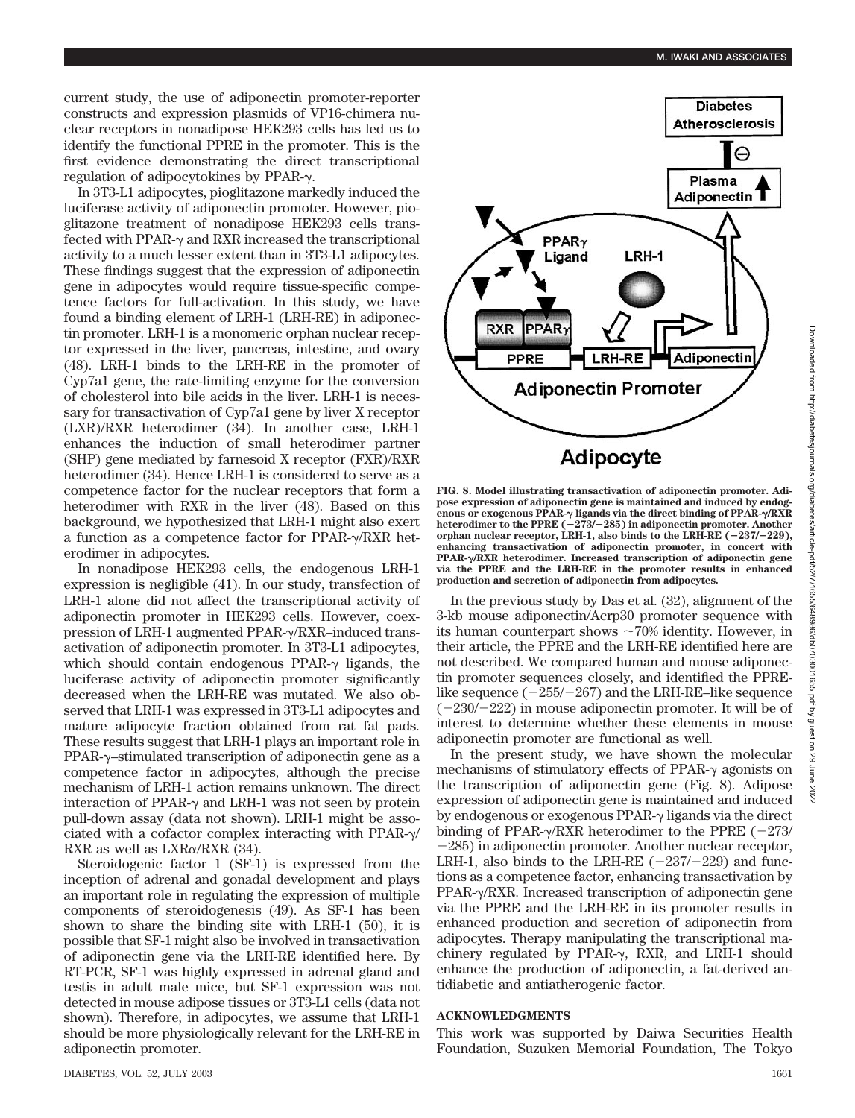current study, the use of adiponectin promoter-reporter constructs and expression plasmids of VP16-chimera nuclear receptors in nonadipose HEK293 cells has led us to identify the functional PPRE in the promoter. This is the first evidence demonstrating the direct transcriptional regulation of adipocytokines by PPAR- $\gamma$ .

In 3T3-L1 adipocytes, pioglitazone markedly induced the luciferase activity of adiponectin promoter. However, pioglitazone treatment of nonadipose HEK293 cells transfected with PPAR- $\gamma$  and RXR increased the transcriptional activity to a much lesser extent than in 3T3-L1 adipocytes. These findings suggest that the expression of adiponectin gene in adipocytes would require tissue-specific competence factors for full-activation. In this study, we have found a binding element of LRH-1 (LRH-RE) in adiponectin promoter. LRH-1 is a monomeric orphan nuclear receptor expressed in the liver, pancreas, intestine, and ovary (48). LRH-1 binds to the LRH-RE in the promoter of Cyp7a1 gene, the rate-limiting enzyme for the conversion of cholesterol into bile acids in the liver. LRH-1 is necessary for transactivation of Cyp7a1 gene by liver X receptor (LXR)/RXR heterodimer (34). In another case, LRH-1 enhances the induction of small heterodimer partner (SHP) gene mediated by farnesoid X receptor (FXR)/RXR heterodimer (34). Hence LRH-1 is considered to serve as a competence factor for the nuclear receptors that form a heterodimer with RXR in the liver (48). Based on this background, we hypothesized that LRH-1 might also exert a function as a competence factor for PPAR- $\gamma$ /RXR heterodimer in adipocytes.

In nonadipose HEK293 cells, the endogenous LRH-1 expression is negligible (41). In our study, transfection of LRH-1 alone did not affect the transcriptional activity of adiponectin promoter in HEK293 cells. However, coexpression of LRH-1 augmented PPAR- $\gamma$ /RXR–induced transactivation of adiponectin promoter. In 3T3-L1 adipocytes, which should contain endogenous PPAR- $\gamma$  ligands, the luciferase activity of adiponectin promoter significantly decreased when the LRH-RE was mutated. We also observed that LRH-1 was expressed in 3T3-L1 adipocytes and mature adipocyte fraction obtained from rat fat pads. These results suggest that LRH-1 plays an important role in  $PPAR-\gamma$ –stimulated transcription of adiponectin gene as a competence factor in adipocytes, although the precise mechanism of LRH-1 action remains unknown. The direct interaction of PPAR- $\gamma$  and LRH-1 was not seen by protein pull-down assay (data not shown). LRH-1 might be associated with a cofactor complex interacting with PPAR- $\gamma$ / RXR as well as  $LXR\alpha/RXR$  (34).

Steroidogenic factor 1 (SF-1) is expressed from the inception of adrenal and gonadal development and plays an important role in regulating the expression of multiple components of steroidogenesis (49). As SF-1 has been shown to share the binding site with LRH-1 (50), it is possible that SF-1 might also be involved in transactivation of adiponectin gene via the LRH-RE identified here. By RT-PCR, SF-1 was highly expressed in adrenal gland and testis in adult male mice, but SF-1 expression was not detected in mouse adipose tissues or 3T3-L1 cells (data not shown). Therefore, in adipocytes, we assume that LRH-1 should be more physiologically relevant for the LRH-RE in adiponectin promoter.



**FIG. 8. Model illustrating transactivation of adiponectin promoter. Adipose expression of adiponectin gene is maintained and induced by endogenous or exogenous PPAR- ligands via the direct binding of PPAR-/RXR heterodimer to the PPRE (273/285) in adiponectin promoter. Another orphan nuclear receptor, LRH-1, also binds to the LRH-RE (237/229), enhancing transactivation of adiponectin promoter, in concert with PPAR-/RXR heterodimer. Increased transcription of adiponectin gene via the PPRE and the LRH-RE in the promoter results in enhanced production and secretion of adiponectin from adipocytes.**

In the previous study by Das et al. (32), alignment of the 3-kb mouse adiponectin/Acrp30 promoter sequence with its human counterpart shows  $\sim$ 70% identity. However, in their article, the PPRE and the LRH-RE identified here are not described. We compared human and mouse adiponectin promoter sequences closely, and identified the PPRElike sequence  $(-255/-267)$  and the LRH-RE–like sequence  $(-230/-222)$  in mouse adiponectin promoter. It will be of interest to determine whether these elements in mouse adiponectin promoter are functional as well.

In the present study, we have shown the molecular mechanisms of stimulatory effects of PPAR- $\gamma$  agonists on the transcription of adiponectin gene (Fig. 8). Adipose expression of adiponectin gene is maintained and induced by endogenous or exogenous PPAR- $\gamma$  ligands via the direct binding of PPAR- $\gamma$ /RXR heterodimer to the PPRE (-273/  $-285$ ) in adiponectin promoter. Another nuclear receptor, LRH-1, also binds to the LRH-RE  $(-237/-229)$  and functions as a competence factor, enhancing transactivation by PPAR- $\gamma$ /RXR. Increased transcription of adiponectin gene via the PPRE and the LRH-RE in its promoter results in enhanced production and secretion of adiponectin from adipocytes. Therapy manipulating the transcriptional machinery regulated by PPAR- $\gamma$ , RXR, and LRH-1 should enhance the production of adiponectin, a fat-derived antidiabetic and antiatherogenic factor.

# **ACKNOWLEDGMENTS**

This work was supported by Daiwa Securities Health Foundation, Suzuken Memorial Foundation, The Tokyo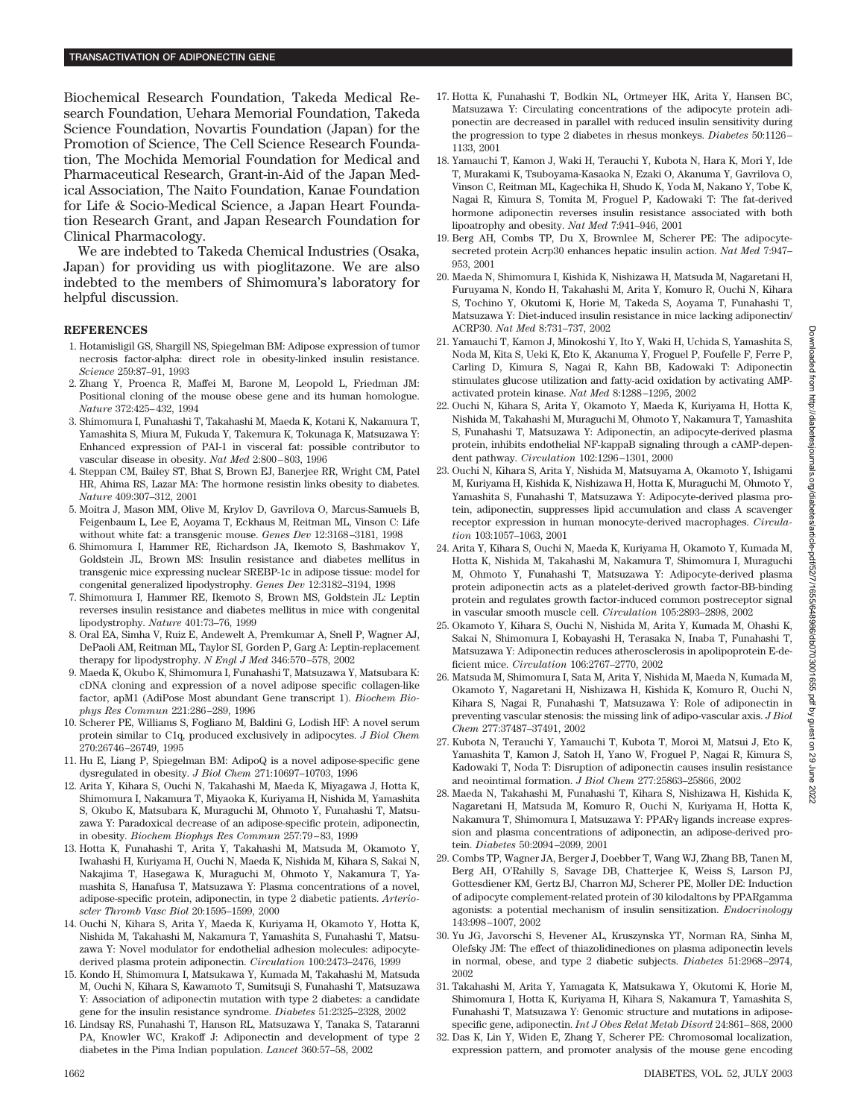Biochemical Research Foundation, Takeda Medical Research Foundation, Uehara Memorial Foundation, Takeda Science Foundation, Novartis Foundation (Japan) for the Promotion of Science, The Cell Science Research Foundation, The Mochida Memorial Foundation for Medical and Pharmaceutical Research, Grant-in-Aid of the Japan Medical Association, The Naito Foundation, Kanae Foundation for Life & Socio-Medical Science, a Japan Heart Foundation Research Grant, and Japan Research Foundation for Clinical Pharmacology.

We are indebted to Takeda Chemical Industries (Osaka, Japan) for providing us with pioglitazone. We are also indebted to the members of Shimomura's laboratory for helpful discussion.

## **REFERENCES**

- 1. Hotamisligil GS, Shargill NS, Spiegelman BM: Adipose expression of tumor necrosis factor-alpha: direct role in obesity-linked insulin resistance. *Science* 259:87–91, 1993
- 2. Zhang Y, Proenca R, Maffei M, Barone M, Leopold L, Friedman JM: Positional cloning of the mouse obese gene and its human homologue. *Nature* 372:425–432, 1994
- 3. Shimomura I, Funahashi T, Takahashi M, Maeda K, Kotani K, Nakamura T, Yamashita S, Miura M, Fukuda Y, Takemura K, Tokunaga K, Matsuzawa Y: Enhanced expression of PAI-1 in visceral fat: possible contributor to vascular disease in obesity. *Nat Med* 2:800–803, 1996
- 4. Steppan CM, Bailey ST, Bhat S, Brown EJ, Banerjee RR, Wright CM, Patel HR, Ahima RS, Lazar MA: The hormone resistin links obesity to diabetes. *Nature* 409:307–312, 2001
- 5. Moitra J, Mason MM, Olive M, Krylov D, Gavrilova O, Marcus-Samuels B, Feigenbaum L, Lee E, Aoyama T, Eckhaus M, Reitman ML, Vinson C: Life without white fat: a transgenic mouse. *Genes Dev* 12:3168–3181, 1998
- 6. Shimomura I, Hammer RE, Richardson JA, Ikemoto S, Bashmakov Y, Goldstein JL, Brown MS: Insulin resistance and diabetes mellitus in transgenic mice expressing nuclear SREBP-1c in adipose tissue: model for congenital generalized lipodystrophy. *Genes Dev* 12:3182–3194, 1998
- 7. Shimomura I, Hammer RE, Ikemoto S, Brown MS, Goldstein JL: Leptin reverses insulin resistance and diabetes mellitus in mice with congenital lipodystrophy. *Nature* 401:73–76, 1999
- 8. Oral EA, Simha V, Ruiz E, Andewelt A, Premkumar A, Snell P, Wagner AJ, DePaoli AM, Reitman ML, Taylor SI, Gorden P, Garg A: Leptin-replacement therapy for lipodystrophy. *N Engl J Med* 346:570–578, 2002
- 9. Maeda K, Okubo K, Shimomura I, Funahashi T, Matsuzawa Y, Matsubara K: cDNA cloning and expression of a novel adipose specific collagen-like factor, apM1 (AdiPose Most abundant Gene transcript 1). *Biochem Biophys Res Commun* 221:286–289, 1996
- 10. Scherer PE, Williams S, Fogliano M, Baldini G, Lodish HF: A novel serum protein similar to C1q, produced exclusively in adipocytes. *J Biol Chem* 270:26746–26749, 1995
- 11. Hu E, Liang P, Spiegelman BM: AdipoQ is a novel adipose-specific gene dysregulated in obesity. *J Biol Chem* 271:10697–10703, 1996
- 12. Arita Y, Kihara S, Ouchi N, Takahashi M, Maeda K, Miyagawa J, Hotta K, Shimomura I, Nakamura T, Miyaoka K, Kuriyama H, Nishida M, Yamashita S, Okubo K, Matsubara K, Muraguchi M, Ohmoto Y, Funahashi T, Matsuzawa Y: Paradoxical decrease of an adipose-specific protein, adiponectin, in obesity. *Biochem Biophys Res Commun* 257:79–83, 1999
- 13. Hotta K, Funahashi T, Arita Y, Takahashi M, Matsuda M, Okamoto Y, Iwahashi H, Kuriyama H, Ouchi N, Maeda K, Nishida M, Kihara S, Sakai N, Nakajima T, Hasegawa K, Muraguchi M, Ohmoto Y, Nakamura T, Yamashita S, Hanafusa T, Matsuzawa Y: Plasma concentrations of a novel, adipose-specific protein, adiponectin, in type 2 diabetic patients. *Arterioscler Thromb Vasc Biol* 20:1595–1599, 2000
- 14. Ouchi N, Kihara S, Arita Y, Maeda K, Kuriyama H, Okamoto Y, Hotta K, Nishida M, Takahashi M, Nakamura T, Yamashita S, Funahashi T, Matsuzawa Y: Novel modulator for endothelial adhesion molecules: adipocytederived plasma protein adiponectin. *Circulation* 100:2473–2476, 1999
- 15. Kondo H, Shimomura I, Matsukawa Y, Kumada M, Takahashi M, Matsuda M, Ouchi N, Kihara S, Kawamoto T, Sumitsuji S, Funahashi T, Matsuzawa Y: Association of adiponectin mutation with type 2 diabetes: a candidate gene for the insulin resistance syndrome. *Diabetes* 51:2325–2328, 2002
- 16. Lindsay RS, Funahashi T, Hanson RL, Matsuzawa Y, Tanaka S, Tataranni PA, Knowler WC, Krakoff J: Adiponectin and development of type 2 diabetes in the Pima Indian population. *Lancet* 360:57–58, 2002
- 17. Hotta K, Funahashi T, Bodkin NL, Ortmeyer HK, Arita Y, Hansen BC, Matsuzawa Y: Circulating concentrations of the adipocyte protein adiponectin are decreased in parallel with reduced insulin sensitivity during the progression to type 2 diabetes in rhesus monkeys. *Diabetes* 50:1126– 1133, 2001
- 18. Yamauchi T, Kamon J, Waki H, Terauchi Y, Kubota N, Hara K, Mori Y, Ide T, Murakami K, Tsuboyama-Kasaoka N, Ezaki O, Akanuma Y, Gavrilova O, Vinson C, Reitman ML, Kagechika H, Shudo K, Yoda M, Nakano Y, Tobe K, Nagai R, Kimura S, Tomita M, Froguel P, Kadowaki T: The fat-derived hormone adiponectin reverses insulin resistance associated with both lipoatrophy and obesity. *Nat Med* 7:941–946, 2001
- 19. Berg AH, Combs TP, Du X, Brownlee M, Scherer PE: The adipocytesecreted protein Acrp30 enhances hepatic insulin action. *Nat Med* 7:947– 953, 2001
- 20. Maeda N, Shimomura I, Kishida K, Nishizawa H, Matsuda M, Nagaretani H, Furuyama N, Kondo H, Takahashi M, Arita Y, Komuro R, Ouchi N, Kihara S, Tochino Y, Okutomi K, Horie M, Takeda S, Aoyama T, Funahashi T, Matsuzawa Y: Diet-induced insulin resistance in mice lacking adiponectin/ ACRP30. *Nat Med* 8:731–737, 2002
- 21. Yamauchi T, Kamon J, Minokoshi Y, Ito Y, Waki H, Uchida S, Yamashita S, Noda M, Kita S, Ueki K, Eto K, Akanuma Y, Froguel P, Foufelle F, Ferre P, Carling D, Kimura S, Nagai R, Kahn BB, Kadowaki T: Adiponectin stimulates glucose utilization and fatty-acid oxidation by activating AMPactivated protein kinase. *Nat Med* 8:1288–1295, 2002
- 22. Ouchi N, Kihara S, Arita Y, Okamoto Y, Maeda K, Kuriyama H, Hotta K, Nishida M, Takahashi M, Muraguchi M, Ohmoto Y, Nakamura T, Yamashita S, Funahashi T, Matsuzawa Y: Adiponectin, an adipocyte-derived plasma protein, inhibits endothelial NF-kappaB signaling through a cAMP-dependent pathway. *Circulation* 102:1296–1301, 2000
- 23. Ouchi N, Kihara S, Arita Y, Nishida M, Matsuyama A, Okamoto Y, Ishigami M, Kuriyama H, Kishida K, Nishizawa H, Hotta K, Muraguchi M, Ohmoto Y, Yamashita S, Funahashi T, Matsuzawa Y: Adipocyte-derived plasma protein, adiponectin, suppresses lipid accumulation and class A scavenger receptor expression in human monocyte-derived macrophages. *Circulation* 103:1057–1063, 2001
- 24. Arita Y, Kihara S, Ouchi N, Maeda K, Kuriyama H, Okamoto Y, Kumada M, Hotta K, Nishida M, Takahashi M, Nakamura T, Shimomura I, Muraguchi M, Ohmoto Y, Funahashi T, Matsuzawa Y: Adipocyte-derived plasma protein adiponectin acts as a platelet-derived growth factor-BB-binding protein and regulates growth factor-induced common postreceptor signal in vascular smooth muscle cell. *Circulation* 105:2893–2898, 2002
- 25. Okamoto Y, Kihara S, Ouchi N, Nishida M, Arita Y, Kumada M, Ohashi K, Sakai N, Shimomura I, Kobayashi H, Terasaka N, Inaba T, Funahashi T, Matsuzawa Y: Adiponectin reduces atherosclerosis in apolipoprotein E-deficient mice. *Circulation* 106:2767–2770, 2002
- 26. Matsuda M, Shimomura I, Sata M, Arita Y, Nishida M, Maeda N, Kumada M, Okamoto Y, Nagaretani H, Nishizawa H, Kishida K, Komuro R, Ouchi N, Kihara S, Nagai R, Funahashi T, Matsuzawa Y: Role of adiponectin in preventing vascular stenosis: the missing link of adipo-vascular axis. *J Biol Chem* 277:37487–37491, 2002
- 27. Kubota N, Terauchi Y, Yamauchi T, Kubota T, Moroi M, Matsui J, Eto K, Yamashita T, Kamon J, Satoh H, Yano W, Froguel P, Nagai R, Kimura S, Kadowaki T, Noda T: Disruption of adiponectin causes insulin resistance and neointimal formation. *J Biol Chem* 277:25863–25866, 2002
- 28. Maeda N, Takahashi M, Funahashi T, Kihara S, Nishizawa H, Kishida K, Nagaretani H, Matsuda M, Komuro R, Ouchi N, Kuriyama H, Hotta K, Nakamura T, Shimomura I, Matsuzawa Y:  $PPAR<sub>\gamma</sub>$  ligands increase expression and plasma concentrations of adiponectin, an adipose-derived protein. *Diabetes* 50:2094–2099, 2001
- 29. Combs TP, Wagner JA, Berger J, Doebber T, Wang WJ, Zhang BB, Tanen M, Berg AH, O'Rahilly S, Savage DB, Chatterjee K, Weiss S, Larson PJ, Gottesdiener KM, Gertz BJ, Charron MJ, Scherer PE, Moller DE: Induction of adipocyte complement-related protein of 30 kilodaltons by PPARgamma agonists: a potential mechanism of insulin sensitization. *Endocrinology* 143:998–1007, 2002
- 30. Yu JG, Javorschi S, Hevener AL, Kruszynska YT, Norman RA, Sinha M, Olefsky JM: The effect of thiazolidinediones on plasma adiponectin levels in normal, obese, and type 2 diabetic subjects. *Diabetes* 51:2968–2974, 2002
- 31. Takahashi M, Arita Y, Yamagata K, Matsukawa Y, Okutomi K, Horie M, Shimomura I, Hotta K, Kuriyama H, Kihara S, Nakamura T, Yamashita S, Funahashi T, Matsuzawa Y: Genomic structure and mutations in adiposespecific gene, adiponectin. *Int J Obes Relat Metab Disord* 24:861–868, 2000
- 32. Das K, Lin Y, Widen E, Zhang Y, Scherer PE: Chromosomal localization, expression pattern, and promoter analysis of the mouse gene encoding